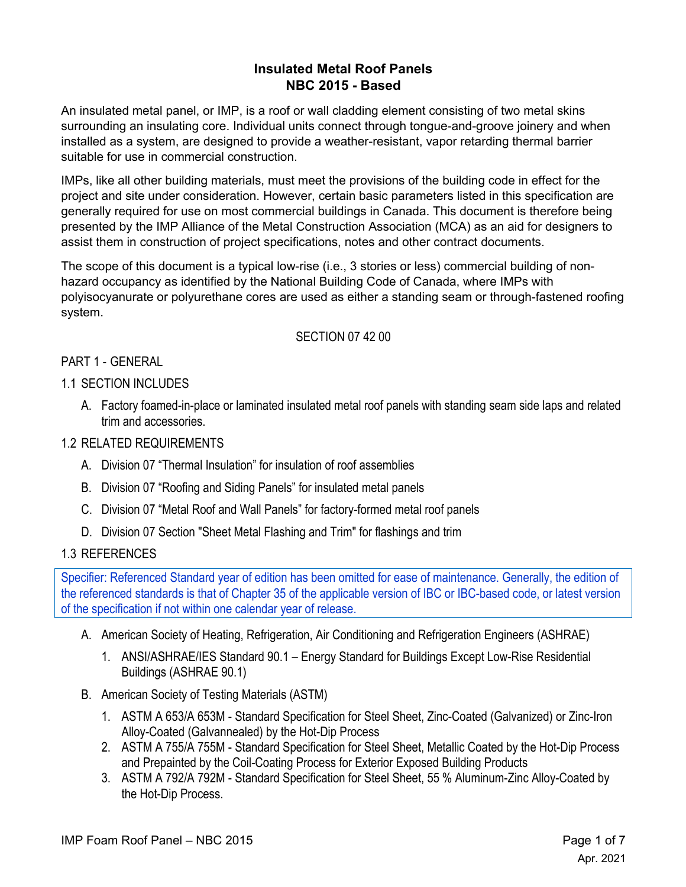# **Insulated Metal Roof Panels NBC 2015 - Based**

An insulated metal panel, or IMP, is a roof or wall cladding element consisting of two metal skins surrounding an insulating core. Individual units connect through tongue-and-groove joinery and when installed as a system, are designed to provide a weather-resistant, vapor retarding thermal barrier suitable for use in commercial construction.

IMPs, like all other building materials, must meet the provisions of the building code in effect for the project and site under consideration. However, certain basic parameters listed in this specification are generally required for use on most commercial buildings in Canada. This document is therefore being presented by the IMP Alliance of the Metal Construction Association (MCA) as an aid for designers to assist them in construction of project specifications, notes and other contract documents.

The scope of this document is a typical low-rise (i.e., 3 stories or less) commercial building of nonhazard occupancy as identified by the National Building Code of Canada, where IMPs with polyisocyanurate or polyurethane cores are used as either a standing seam or through-fastened roofing system.

# SECTION 07 42 00

# PART 1 - GENERAL

# 1.1 SECTION INCLUDES

A. Factory foamed-in-place or laminated insulated metal roof panels with standing seam side laps and related trim and accessories.

# 1.2 RELATED REQUIREMENTS

- A. Division 07 "Thermal Insulation" for insulation of roof assemblies
- B. Division 07 "Roofing and Siding Panels" for insulated metal panels
- C. Division 07 "Metal Roof and Wall Panels" for factory-formed metal roof panels
- D. Division 07 Section "Sheet Metal Flashing and Trim" for flashings and trim

#### 1.3 REFERENCES

Specifier: Referenced Standard year of edition has been omitted for ease of maintenance. Generally, the edition of the referenced standards is that of Chapter 35 of the applicable version of IBC or IBC-based code, or latest version of the specification if not within one calendar year of release.

- A. American Society of Heating, Refrigeration, Air Conditioning and Refrigeration Engineers (ASHRAE)
	- 1. ANSI/ASHRAE/IES Standard 90.1 Energy Standard for Buildings Except Low-Rise Residential Buildings (ASHRAE 90.1)
- B. American Society of Testing Materials (ASTM)
	- 1. ASTM A 653/A 653M Standard Specification for Steel Sheet, Zinc-Coated (Galvanized) or Zinc-Iron Alloy-Coated (Galvannealed) by the Hot-Dip Process
	- 2. ASTM A 755/A 755M Standard Specification for Steel Sheet, Metallic Coated by the Hot-Dip Process and Prepainted by the Coil-Coating Process for Exterior Exposed Building Products
	- 3. ASTM A 792/A 792M Standard Specification for Steel Sheet, 55 % Aluminum-Zinc Alloy-Coated by the Hot-Dip Process.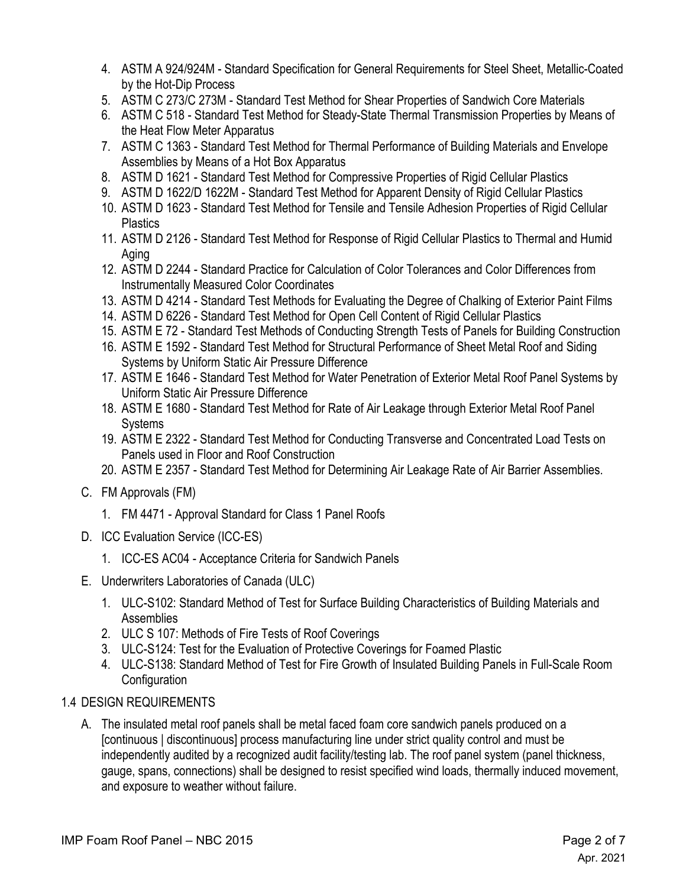- 4. ASTM A 924/924M Standard Specification for General Requirements for Steel Sheet, Metallic-Coated by the Hot-Dip Process
- 5. ASTM C 273/C 273M Standard Test Method for Shear Properties of Sandwich Core Materials
- 6. ASTM C 518 Standard Test Method for Steady-State Thermal Transmission Properties by Means of the Heat Flow Meter Apparatus
- 7. ASTM C 1363 Standard Test Method for Thermal Performance of Building Materials and Envelope Assemblies by Means of a Hot Box Apparatus
- 8. ASTM D 1621 Standard Test Method for Compressive Properties of Rigid Cellular Plastics
- 9. ASTM D 1622/D 1622M Standard Test Method for Apparent Density of Rigid Cellular Plastics
- 10. ASTM D 1623 Standard Test Method for Tensile and Tensile Adhesion Properties of Rigid Cellular **Plastics**
- 11. ASTM D 2126 Standard Test Method for Response of Rigid Cellular Plastics to Thermal and Humid Aging
- 12. ASTM D 2244 Standard Practice for Calculation of Color Tolerances and Color Differences from Instrumentally Measured Color Coordinates
- 13. ASTM D 4214 Standard Test Methods for Evaluating the Degree of Chalking of Exterior Paint Films
- 14. ASTM D 6226 Standard Test Method for Open Cell Content of Rigid Cellular Plastics
- 15. ASTM E 72 Standard Test Methods of Conducting Strength Tests of Panels for Building Construction
- 16. ASTM E 1592 Standard Test Method for Structural Performance of Sheet Metal Roof and Siding Systems by Uniform Static Air Pressure Difference
- 17. ASTM E 1646 Standard Test Method for Water Penetration of Exterior Metal Roof Panel Systems by Uniform Static Air Pressure Difference
- 18. ASTM E 1680 Standard Test Method for Rate of Air Leakage through Exterior Metal Roof Panel Systems
- 19. ASTM E 2322 Standard Test Method for Conducting Transverse and Concentrated Load Tests on Panels used in Floor and Roof Construction
- 20. ASTM E 2357 Standard Test Method for Determining Air Leakage Rate of Air Barrier Assemblies.
- C. FM Approvals (FM)
	- 1. FM 4471 Approval Standard for Class 1 Panel Roofs
- D. ICC Evaluation Service (ICC-ES)
	- 1. ICC-ES AC04 Acceptance Criteria for Sandwich Panels
- E. Underwriters Laboratories of Canada (ULC)
	- 1. ULC-S102: Standard Method of Test for Surface Building Characteristics of Building Materials and Assemblies
	- 2. ULC S 107: Methods of Fire Tests of Roof Coverings
	- 3. ULC-S124: Test for the Evaluation of Protective Coverings for Foamed Plastic
	- 4. ULC-S138: Standard Method of Test for Fire Growth of Insulated Building Panels in Full-Scale Room **Configuration**

#### 1.4 DESIGN REQUIREMENTS

A. The insulated metal roof panels shall be metal faced foam core sandwich panels produced on a [continuous | discontinuous] process manufacturing line under strict quality control and must be independently audited by a recognized audit facility/testing lab. The roof panel system (panel thickness, gauge, spans, connections) shall be designed to resist specified wind loads, thermally induced movement, and exposure to weather without failure.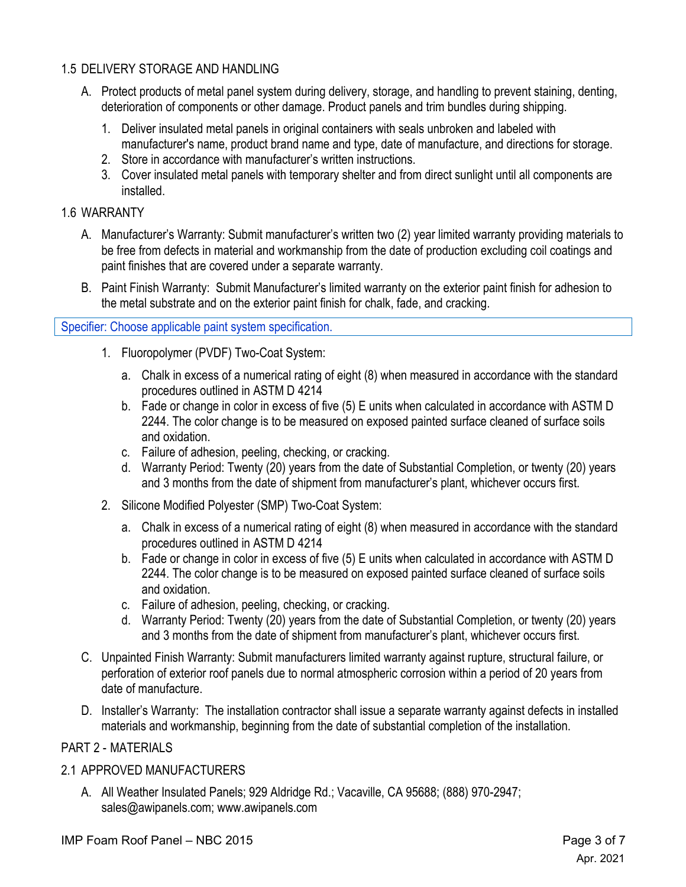# 1.5 DELIVERY STORAGE AND HANDLING

- A. Protect products of metal panel system during delivery, storage, and handling to prevent staining, denting, deterioration of components or other damage. Product panels and trim bundles during shipping.
	- 1. Deliver insulated metal panels in original containers with seals unbroken and labeled with manufacturer's name, product brand name and type, date of manufacture, and directions for storage.
	- 2. Store in accordance with manufacturer's written instructions.
	- 3. Cover insulated metal panels with temporary shelter and from direct sunlight until all components are installed.

# 1.6 WARRANTY

- A. Manufacturer's Warranty: Submit manufacturer's written two (2) year limited warranty providing materials to be free from defects in material and workmanship from the date of production excluding coil coatings and paint finishes that are covered under a separate warranty.
- B. Paint Finish Warranty: Submit Manufacturer's limited warranty on the exterior paint finish for adhesion to the metal substrate and on the exterior paint finish for chalk, fade, and cracking.

# Specifier: Choose applicable paint system specification.

- 1. Fluoropolymer (PVDF) Two-Coat System:
	- a. Chalk in excess of a numerical rating of eight (8) when measured in accordance with the standard procedures outlined in ASTM D 4214
	- b. Fade or change in color in excess of five (5) E units when calculated in accordance with ASTM D 2244. The color change is to be measured on exposed painted surface cleaned of surface soils and oxidation.
	- c. Failure of adhesion, peeling, checking, or cracking.
	- d. Warranty Period: Twenty (20) years from the date of Substantial Completion, or twenty (20) years and 3 months from the date of shipment from manufacturer's plant, whichever occurs first.
- 2. Silicone Modified Polyester (SMP) Two-Coat System:
	- a. Chalk in excess of a numerical rating of eight (8) when measured in accordance with the standard procedures outlined in ASTM D 4214
	- b. Fade or change in color in excess of five (5) E units when calculated in accordance with ASTM D 2244. The color change is to be measured on exposed painted surface cleaned of surface soils and oxidation.
	- c. Failure of adhesion, peeling, checking, or cracking.
	- d. Warranty Period: Twenty (20) years from the date of Substantial Completion, or twenty (20) years and 3 months from the date of shipment from manufacturer's plant, whichever occurs first.
- C. Unpainted Finish Warranty: Submit manufacturers limited warranty against rupture, structural failure, or perforation of exterior roof panels due to normal atmospheric corrosion within a period of 20 years from date of manufacture.
- D. Installer's Warranty: The installation contractor shall issue a separate warranty against defects in installed materials and workmanship, beginning from the date of substantial completion of the installation.

# PART 2 - MATERIALS

#### 2.1 APPROVED MANUFACTURERS

A. All Weather Insulated Panels; 929 Aldridge Rd.; Vacaville, CA 95688; (888) 970-2947; sales@awipanels.com; www.awipanels.com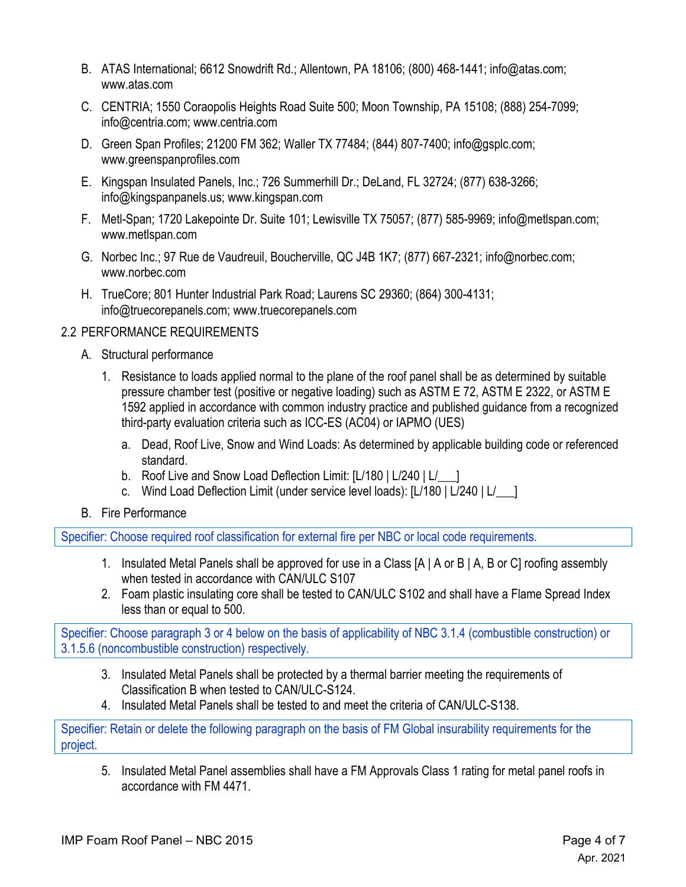- B. ATAS International; 6612 Snowdrift Rd.; Allentown, PA 18106; (800) 468-1441; info@atas.com; www.atas.com
- C. CENTRIA; 1550 Coraopolis Heights Road Suite 500; Moon Township, PA 15108; (888) 254-7099; info@centria.com; www.centria.com
- D. Green Span Profiles; 21200 FM 362; Waller TX 77484; (844) 807-7400; info@gsplc.com; www.greenspanprofiles.com
- E. Kingspan Insulated Panels, Inc.; 726 Summerhill Dr.; DeLand, FL 32724; (877) 638-3266; info@kingspanpanels.us; www.kingspan.com
- F. Metl-Span; 1720 Lakepointe Dr. Suite 101; Lewisville TX 75057; (877) 585-9969; info@metlspan.com; www.metlspan.com
- G. Norbec Inc.; 97 Rue de Vaudreuil, Boucherville, QC J4B 1K7; (877) 667-2321; info@norbec.com; www.norbec.com
- H. TrueCore; 801 Hunter Industrial Park Road; Laurens SC 29360; (864) 300-4131; info@truecorepanels.com; www.truecorepanels.com

# 2.2 PERFORMANCE REQUIREMENTS

- A. Structural performance
	- 1. Resistance to loads applied normal to the plane of the roof panel shall be as determined by suitable pressure chamber test (positive or negative loading) such as ASTM E 72, ASTM E 2322, or ASTM E 1592 applied in accordance with common industry practice and published guidance from a recognized third-party evaluation criteria such as ICC-ES (AC04) or IAPMO (UES)
		- a. Dead, Roof Live, Snow and Wind Loads: As determined by applicable building code or referenced standard.
		- b. Roof Live and Snow Load Deflection Limit: [L/180 | L/240 | L/
		- c. Wind Load Deflection Limit (under service level loads): [L/180 | L/240 | L/\_\_\_]
- B. Fire Performance

Specifier: Choose required roof classification for external fire per NBC or local code requirements.

- 1. Insulated Metal Panels shall be approved for use in a Class [A | A or B | A, B or C] roofing assembly when tested in accordance with CAN/ULC S107
- 2. Foam plastic insulating core shall be tested to CAN/ULC S102 and shall have a Flame Spread Index less than or equal to 500.

Specifier: Choose paragraph 3 or 4 below on the basis of applicability of NBC 3.1.4 (combustible construction) or 3.1.5.6 (noncombustible construction) respectively.

- 3. Insulated Metal Panels shall be protected by a thermal barrier meeting the requirements of Classification B when tested to CAN/ULC-S124.
- 4. Insulated Metal Panels shall be tested to and meet the criteria of CAN/ULC-S138.

Specifier: Retain or delete the following paragraph on the basis of FM Global insurability requirements for the project.

5. Insulated Metal Panel assemblies shall have a FM Approvals Class 1 rating for metal panel roofs in accordance with FM 4471.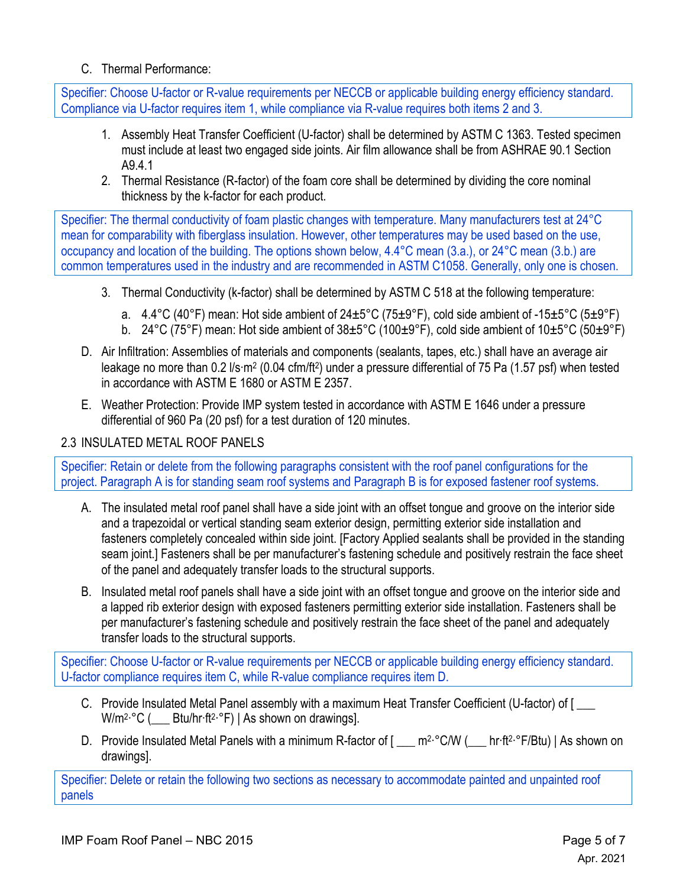# C. Thermal Performance:

Specifier: Choose U-factor or R-value requirements per NECCB or applicable building energy efficiency standard. Compliance via U-factor requires item 1, while compliance via R-value requires both items 2 and 3.

- 1. Assembly Heat Transfer Coefficient (U-factor) shall be determined by ASTM C 1363. Tested specimen must include at least two engaged side joints. Air film allowance shall be from ASHRAE 90.1 Section A9.4.1
- 2. Thermal Resistance (R-factor) of the foam core shall be determined by dividing the core nominal thickness by the k-factor for each product.

Specifier: The thermal conductivity of foam plastic changes with temperature. Many manufacturers test at 24°C mean for comparability with fiberglass insulation. However, other temperatures may be used based on the use, occupancy and location of the building. The options shown below, 4.4°C mean (3.a.), or 24°C mean (3.b.) are common temperatures used in the industry and are recommended in ASTM C1058. Generally, only one is chosen.

- 3. Thermal Conductivity (k-factor) shall be determined by ASTM C 518 at the following temperature:
	- a.  $4.4^{\circ}$ C (40 $^{\circ}$ F) mean: Hot side ambient of 24 $\pm$ 5 $^{\circ}$ C (75 $\pm$ 9 $^{\circ}$ F), cold side ambient of -15 $\pm$ 5 $^{\circ}$ C (5 $\pm$ 9 $^{\circ}$ F)
	- b. 24°C (75°F) mean: Hot side ambient of 38±5°C (100±9°F), cold side ambient of 10±5°C (50±9°F)
- D. Air Infiltration: Assemblies of materials and components (sealants, tapes, etc.) shall have an average air leakage no more than 0.2 l/s·m2 (0.04 cfm/ft2) under a pressure differential of 75 Pa (1.57 psf) when tested in accordance with ASTM E 1680 or ASTM E 2357.
- E. Weather Protection: Provide IMP system tested in accordance with ASTM E 1646 under a pressure differential of 960 Pa (20 psf) for a test duration of 120 minutes.

### 2.3 INSULATED METAL ROOF PANELS

Specifier: Retain or delete from the following paragraphs consistent with the roof panel configurations for the project. Paragraph A is for standing seam roof systems and Paragraph B is for exposed fastener roof systems.

- A. The insulated metal roof panel shall have a side joint with an offset tongue and groove on the interior side and a trapezoidal or vertical standing seam exterior design, permitting exterior side installation and fasteners completely concealed within side joint. [Factory Applied sealants shall be provided in the standing seam joint.] Fasteners shall be per manufacturer's fastening schedule and positively restrain the face sheet of the panel and adequately transfer loads to the structural supports.
- B. Insulated metal roof panels shall have a side joint with an offset tongue and groove on the interior side and a lapped rib exterior design with exposed fasteners permitting exterior side installation. Fasteners shall be per manufacturer's fastening schedule and positively restrain the face sheet of the panel and adequately transfer loads to the structural supports.

Specifier: Choose U-factor or R-value requirements per NECCB or applicable building energy efficiency standard. U-factor compliance requires item C, while R-value compliance requires item D.

- C. Provide Insulated Metal Panel assembly with a maximum Heat Transfer Coefficient (U-factor) of [ \_\_\_  $W/m^2 °C$  (  $Btu/hr·ft^2·°F$ ) | As shown on drawings].
- D. Provide Insulated Metal Panels with a minimum R-factor of [ \_\_\_ m<sup>2</sup>·°C/W ( \_\_ hr·ft<sup>2·°</sup>F/Btu) | As shown on drawings].

Specifier: Delete or retain the following two sections as necessary to accommodate painted and unpainted roof panels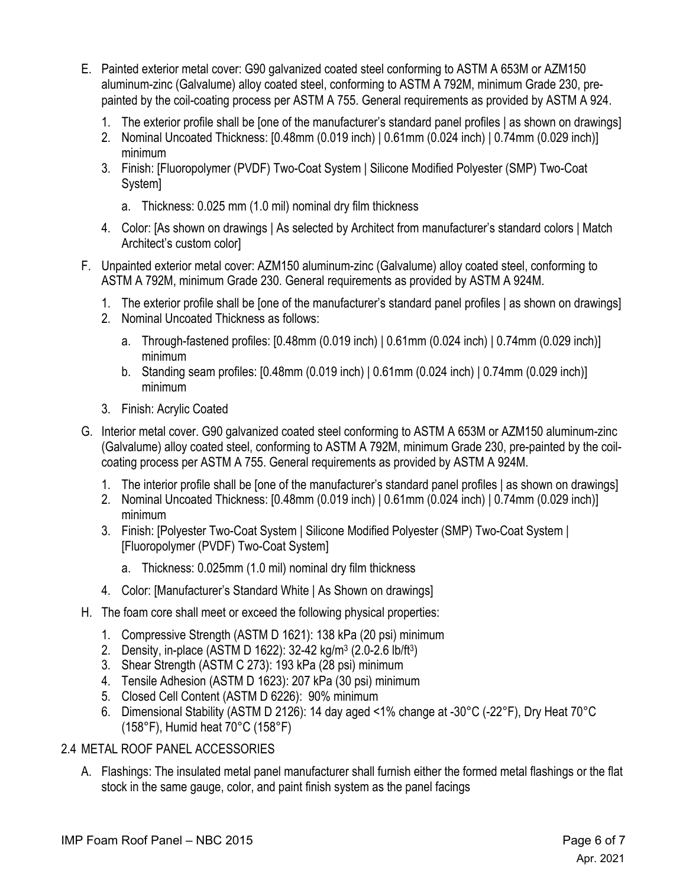- E. Painted exterior metal cover: G90 galvanized coated steel conforming to ASTM A 653M or AZM150 aluminum-zinc (Galvalume) alloy coated steel, conforming to ASTM A 792M, minimum Grade 230, prepainted by the coil-coating process per ASTM A 755. General requirements as provided by ASTM A 924.
	- 1. The exterior profile shall be [one of the manufacturer's standard panel profiles | as shown on drawings]
	- 2. Nominal Uncoated Thickness: [0.48mm (0.019 inch) | 0.61mm (0.024 inch) | 0.74mm (0.029 inch)] minimum
	- 3. Finish: [Fluoropolymer (PVDF) Two-Coat System | Silicone Modified Polyester (SMP) Two-Coat System]
		- a. Thickness: 0.025 mm (1.0 mil) nominal dry film thickness
	- 4. Color: [As shown on drawings | As selected by Architect from manufacturer's standard colors | Match Architect's custom color]
- F. Unpainted exterior metal cover: AZM150 aluminum-zinc (Galvalume) alloy coated steel, conforming to ASTM A 792M, minimum Grade 230. General requirements as provided by ASTM A 924M.
	- 1. The exterior profile shall be [one of the manufacturer's standard panel profiles | as shown on drawings]
	- 2. Nominal Uncoated Thickness as follows:
		- a. Through-fastened profiles: [0.48mm (0.019 inch) | 0.61mm (0.024 inch) | 0.74mm (0.029 inch)] minimum
		- b. Standing seam profiles: [0.48mm (0.019 inch) | 0.61mm (0.024 inch) | 0.74mm (0.029 inch)] minimum
	- 3. Finish: Acrylic Coated
- G. Interior metal cover. G90 galvanized coated steel conforming to ASTM A 653M or AZM150 aluminum-zinc (Galvalume) alloy coated steel, conforming to ASTM A 792M, minimum Grade 230, pre-painted by the coilcoating process per ASTM A 755. General requirements as provided by ASTM A 924M.
	- 1. The interior profile shall be [one of the manufacturer's standard panel profiles | as shown on drawings]
	- 2. Nominal Uncoated Thickness: [0.48mm (0.019 inch) | 0.61mm (0.024 inch) | 0.74mm (0.029 inch)] minimum
	- 3. Finish: [Polyester Two-Coat System | Silicone Modified Polyester (SMP) Two-Coat System | [Fluoropolymer (PVDF) Two-Coat System]
		- a. Thickness: 0.025mm (1.0 mil) nominal dry film thickness
	- 4. Color: [Manufacturer's Standard White | As Shown on drawings]
- H. The foam core shall meet or exceed the following physical properties:
	- 1. Compressive Strength (ASTM D 1621): 138 kPa (20 psi) minimum
	- 2. Density, in-place (ASTM D 1622): 32-42 kg/m3 (2.0-2.6 lb/ft3)
	- 3. Shear Strength (ASTM C 273): 193 kPa (28 psi) minimum
	- 4. Tensile Adhesion (ASTM D 1623): 207 kPa (30 psi) minimum
	- 5. Closed Cell Content (ASTM D 6226): 90% minimum
	- 6. Dimensional Stability (ASTM D 2126): 14 day aged <1% change at -30°C (-22°F), Dry Heat 70°C (158°F), Humid heat 70°C (158°F)

# 2.4 METAL ROOF PANEL ACCESSORIES

A. Flashings: The insulated metal panel manufacturer shall furnish either the formed metal flashings or the flat stock in the same gauge, color, and paint finish system as the panel facings